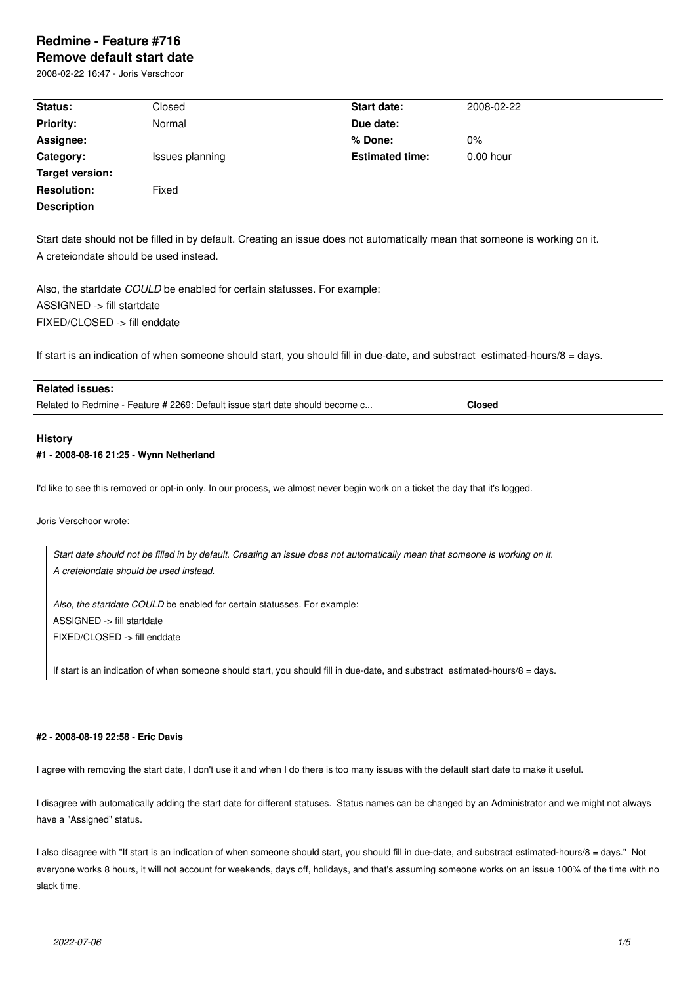# **Redmine - Feature #716 Remove default start date**

2008-02-22 16:47 - Joris Verschoor

| Status:                                                                                                                                                                                                                                                                                                                                                                                                                                         | Closed          | Start date:            | 2008-02-22  |
|-------------------------------------------------------------------------------------------------------------------------------------------------------------------------------------------------------------------------------------------------------------------------------------------------------------------------------------------------------------------------------------------------------------------------------------------------|-----------------|------------------------|-------------|
| <b>Priority:</b>                                                                                                                                                                                                                                                                                                                                                                                                                                | Normal          | Due date:              |             |
| Assignee:                                                                                                                                                                                                                                                                                                                                                                                                                                       |                 | % Done:                | 0%          |
| Category:                                                                                                                                                                                                                                                                                                                                                                                                                                       | Issues planning | <b>Estimated time:</b> | $0.00$ hour |
| <b>Target version:</b>                                                                                                                                                                                                                                                                                                                                                                                                                          |                 |                        |             |
| <b>Resolution:</b>                                                                                                                                                                                                                                                                                                                                                                                                                              | Fixed           |                        |             |
| <b>Description</b>                                                                                                                                                                                                                                                                                                                                                                                                                              |                 |                        |             |
| Start date should not be filled in by default. Creating an issue does not automatically mean that someone is working on it.<br>A creteiondate should be used instead.<br>Also, the startdate COULD be enabled for certain statusses. For example:<br>ASSIGNED -> fill startdate<br>FIXED/CLOSED -> fill enddate<br>If start is an indication of when someone should start, you should fill in due-date, and substract estimated-hours/8 = days. |                 |                        |             |
| <b>Related issues:</b>                                                                                                                                                                                                                                                                                                                                                                                                                          |                 |                        |             |
| Related to Redmine - Feature # 2269: Default issue start date should become c<br><b>Closed</b>                                                                                                                                                                                                                                                                                                                                                  |                 |                        |             |
|                                                                                                                                                                                                                                                                                                                                                                                                                                                 |                 |                        |             |

## **History**

### **#1 - 2008-08-16 21:25 - Wynn Netherland**

I'd like to see this removed or opt-in only. In our process, we almost never begin work on a ticket the day that it's logged.

Joris Verschoor wrote:

*Start date should not be filled in by default. Creating an issue does not automatically mean that someone is working on it. A creteiondate should be used instead.*

*Also, the startdate COULD* be enabled for certain statusses. For example: ASSIGNED -> fill startdate FIXED/CLOSED -> fill enddate

If start is an indication of when someone should start, you should fill in due-date, and substract estimated-hours/8 = days.

## **#2 - 2008-08-19 22:58 - Eric Davis**

I agree with removing the start date, I don't use it and when I do there is too many issues with the default start date to make it useful.

I disagree with automatically adding the start date for different statuses. Status names can be changed by an Administrator and we might not always have a "Assigned" status.

I also disagree with "If start is an indication of when someone should start, you should fill in due-date, and substract estimated-hours/8 = days." Not everyone works 8 hours, it will not account for weekends, days off, holidays, and that's assuming someone works on an issue 100% of the time with no slack time.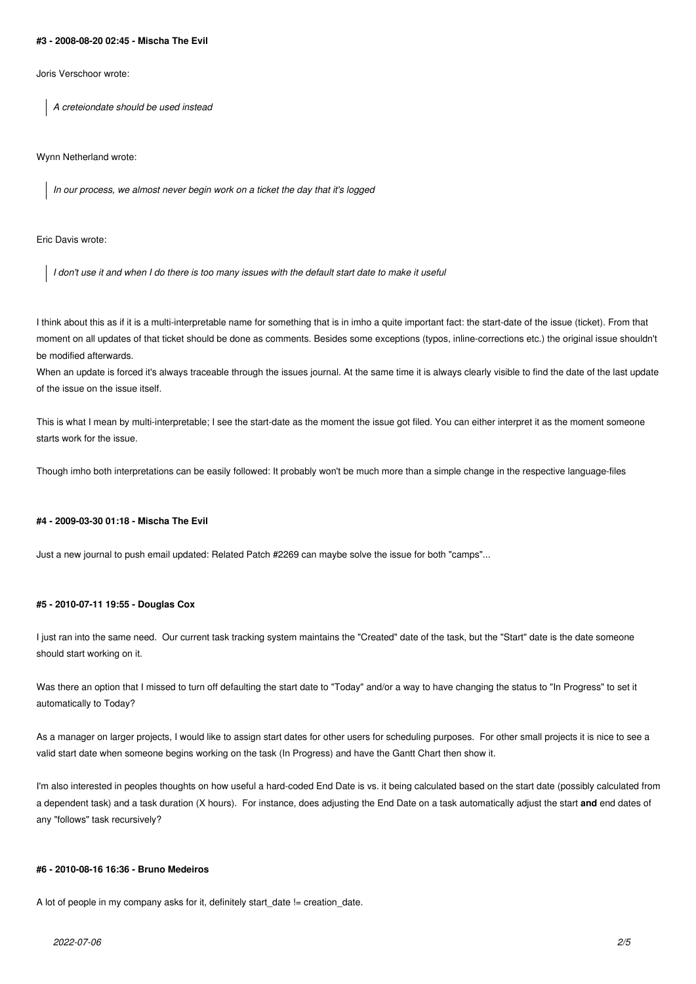#### **#3 - 2008-08-20 02:45 - Mischa The Evil**

Joris Verschoor wrote:

*A creteiondate should be used instead*

Wynn Netherland wrote:

*In our process, we almost never begin work on a ticket the day that it's logged*

Eric Davis wrote:

*I don't use it and when I do there is too many issues with the default start date to make it useful*

I think about this as if it is a multi-interpretable name for something that is in imho a quite important fact: the start-date of the issue (ticket). From that moment on all updates of that ticket should be done as comments. Besides some exceptions (typos, inline-corrections etc.) the original issue shouldn't be modified afterwards.

When an update is forced it's always traceable through the issues journal. At the same time it is always clearly visible to find the date of the last update of the issue on the issue itself.

This is what I mean by multi-interpretable; I see the start-date as the moment the issue got filed. You can either interpret it as the moment someone starts work for the issue.

Though imho both interpretations can be easily followed: It probably won't be much more than a simple change in the respective language-files

#### **#4 - 2009-03-30 01:18 - Mischa The Evil**

Just a new journal to push email updated: Related Patch #2269 can maybe solve the issue for both "camps"...

### **#5 - 2010-07-11 19:55 - Douglas Cox**

I just ran into the same need. Our current task tracking system maintains the "Created" date of the task, but the "Start" date is the date someone should start working on it.

Was there an option that I missed to turn off defaulting the start date to "Today" and/or a way to have changing the status to "In Progress" to set it automatically to Today?

As a manager on larger projects, I would like to assign start dates for other users for scheduling purposes. For other small projects it is nice to see a valid start date when someone begins working on the task (In Progress) and have the Gantt Chart then show it.

I'm also interested in peoples thoughts on how useful a hard-coded End Date is vs. it being calculated based on the start date (possibly calculated from a dependent task) and a task duration (X hours). For instance, does adjusting the End Date on a task automatically adjust the start **and** end dates of any "follows" task recursively?

#### **#6 - 2010-08-16 16:36 - Bruno Medeiros**

A lot of people in my company asks for it, definitely start\_date != creation\_date.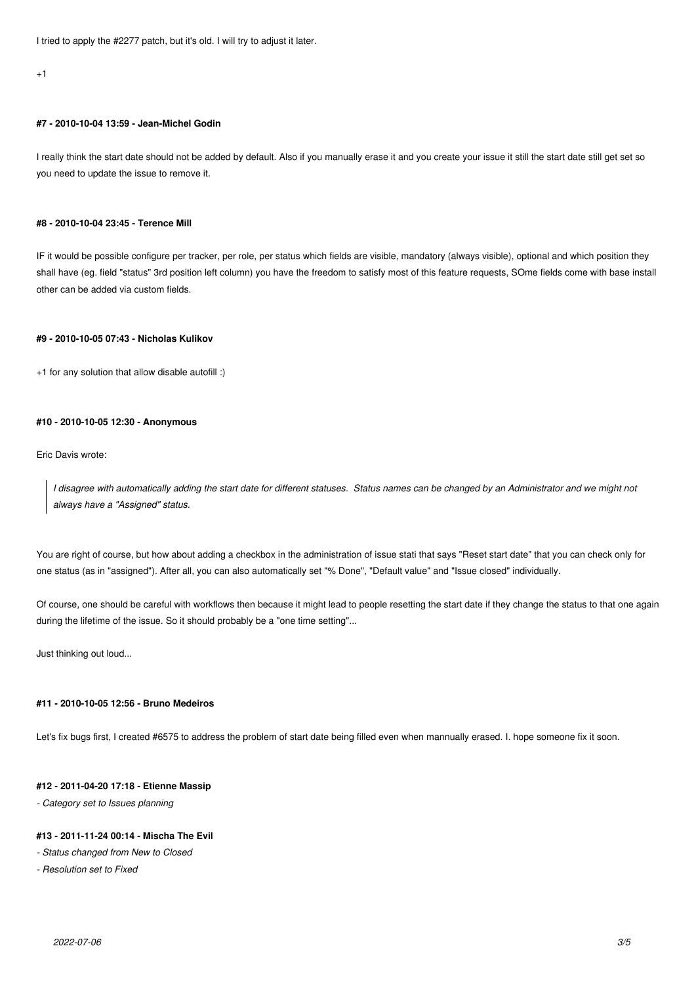I tried to apply the #2277 patch, but it's old. I will try to adjust it later.

 $+1$ 

## **#7 - 2010-10-04 13:59 - Jean-Michel Godin**

I really think the start date should not be added by default. Also if you manually erase it and you create your issue it still the start date still get set so you need to update the issue to remove it.

#### **#8 - 2010-10-04 23:45 - Terence Mill**

IF it would be possible configure per tracker, per role, per status which fields are visible, mandatory (always visible), optional and which position they shall have (eg. field "status" 3rd position left column) you have the freedom to satisfy most of this feature requests, SOme fields come with base install other can be added via custom fields.

### **#9 - 2010-10-05 07:43 - Nicholas Kulikov**

+1 for any solution that allow disable autofill :)

### **#10 - 2010-10-05 12:30 - Anonymous**

Eric Davis wrote:

*I disagree with automatically adding the start date for different statuses. Status names can be changed by an Administrator and we might not always have a "Assigned" status.*

You are right of course, but how about adding a checkbox in the administration of issue stati that says "Reset start date" that you can check only for one status (as in "assigned"). After all, you can also automatically set "% Done", "Default value" and "Issue closed" individually.

Of course, one should be careful with workflows then because it might lead to people resetting the start date if they change the status to that one again during the lifetime of the issue. So it should probably be a "one time setting"...

Just thinking out loud...

#### **#11 - 2010-10-05 12:56 - Bruno Medeiros**

Let's fix bugs first, I created #6575 to address the problem of start date being filled even when mannually erased. I. hope someone fix it soon.

#### **#12 - 2011-04-20 17:18 - Etienne Massip**

*- Category set to Issues planning*

#### **#13 - 2011-11-24 00:14 - Mischa The Evil**

*- Status changed from New to Closed*

*- Resolution set to Fixed*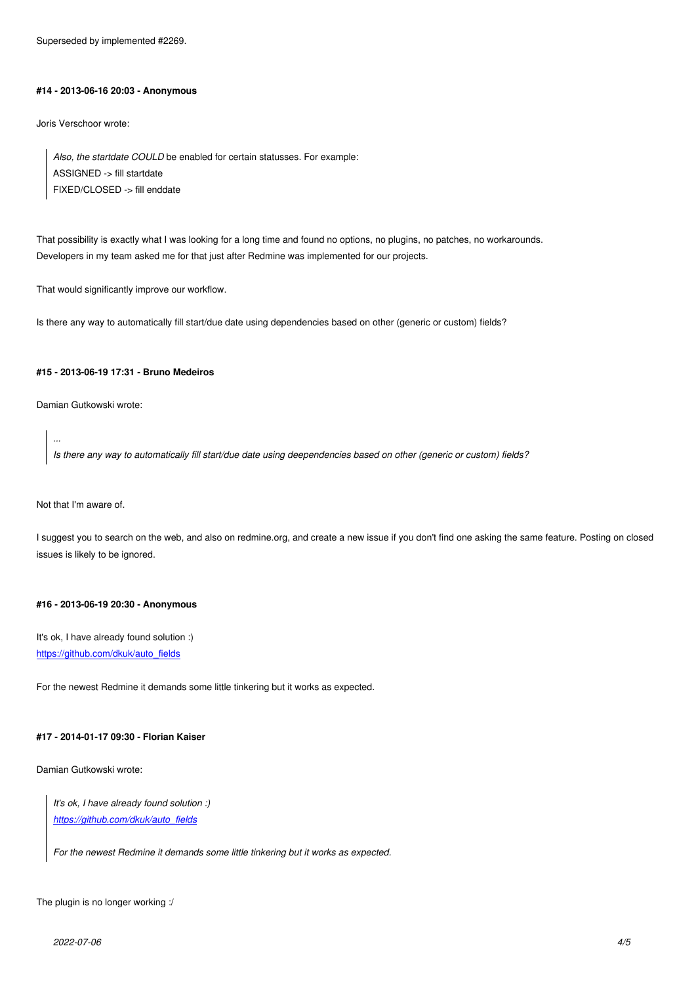#### **#14 - 2013-06-16 20:03 - Anonymous**

Joris Verschoor wrote:

*Also, the startdate COULD* be enabled for certain statusses. For example: ASSIGNED -> fill startdate FIXED/CLOSED -> fill enddate

That possibility is exactly what I was looking for a long time and found no options, no plugins, no patches, no workarounds. Developers in my team asked me for that just after Redmine was implemented for our projects.

That would significantly improve our workflow.

Is there any way to automatically fill start/due date using dependencies based on other (generic or custom) fields?

#### **#15 - 2013-06-19 17:31 - Bruno Medeiros**

Damian Gutkowski wrote:

*Is there any way to automatically fill start/due date using deependencies based on other (generic or custom) fields?*

Not that I'm aware of.

*...*

I suggest you to search on the web, and also on redmine.org, and create a new issue if you don't find one asking the same feature. Posting on closed issues is likely to be ignored.

#### **#16 - 2013-06-19 20:30 - Anonymous**

It's ok, I have already found solution :) https://github.com/dkuk/auto\_fields

For the newest Redmine it demands some little tinkering but it works as expected.

#### **#17 - 2014-01-17 09:30 - Florian Kaiser**

Damian Gutkowski wrote:

*It's ok, I have already found solution :) https://github.com/dkuk/auto\_fields*

*For the newest Redmine it demands some little tinkering but it works as expected.*

The plugin is no longer working :/